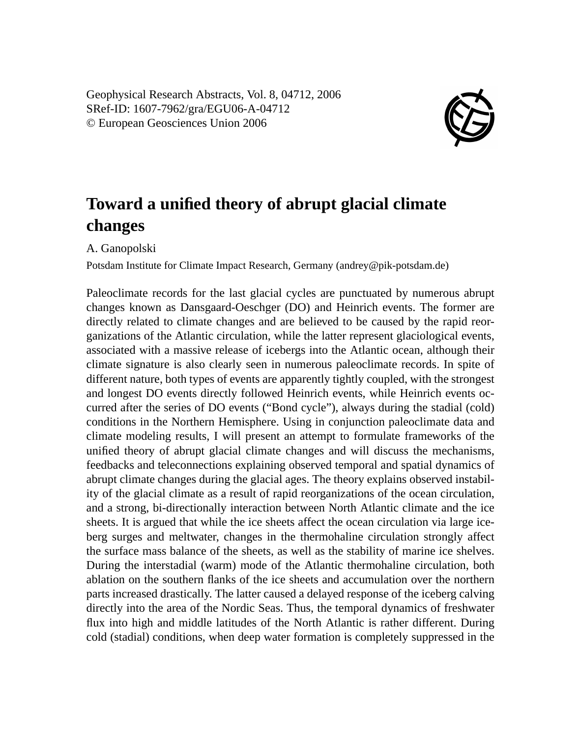Geophysical Research Abstracts, Vol. 8, 04712, 2006 SRef-ID: 1607-7962/gra/EGU06-A-04712 © European Geosciences Union 2006



## **Toward a unified theory of abrupt glacial climate changes**

A. Ganopolski

Potsdam Institute for Climate Impact Research, Germany (andrey@pik-potsdam.de)

Paleoclimate records for the last glacial cycles are punctuated by numerous abrupt changes known as Dansgaard-Oeschger (DO) and Heinrich events. The former are directly related to climate changes and are believed to be caused by the rapid reorganizations of the Atlantic circulation, while the latter represent glaciological events, associated with a massive release of icebergs into the Atlantic ocean, although their climate signature is also clearly seen in numerous paleoclimate records. In spite of different nature, both types of events are apparently tightly coupled, with the strongest and longest DO events directly followed Heinrich events, while Heinrich events occurred after the series of DO events ("Bond cycle"), always during the stadial (cold) conditions in the Northern Hemisphere. Using in conjunction paleoclimate data and climate modeling results, I will present an attempt to formulate frameworks of the unified theory of abrupt glacial climate changes and will discuss the mechanisms, feedbacks and teleconnections explaining observed temporal and spatial dynamics of abrupt climate changes during the glacial ages. The theory explains observed instability of the glacial climate as a result of rapid reorganizations of the ocean circulation, and a strong, bi-directionally interaction between North Atlantic climate and the ice sheets. It is argued that while the ice sheets affect the ocean circulation via large iceberg surges and meltwater, changes in the thermohaline circulation strongly affect the surface mass balance of the sheets, as well as the stability of marine ice shelves. During the interstadial (warm) mode of the Atlantic thermohaline circulation, both ablation on the southern flanks of the ice sheets and accumulation over the northern parts increased drastically. The latter caused a delayed response of the iceberg calving directly into the area of the Nordic Seas. Thus, the temporal dynamics of freshwater flux into high and middle latitudes of the North Atlantic is rather different. During cold (stadial) conditions, when deep water formation is completely suppressed in the